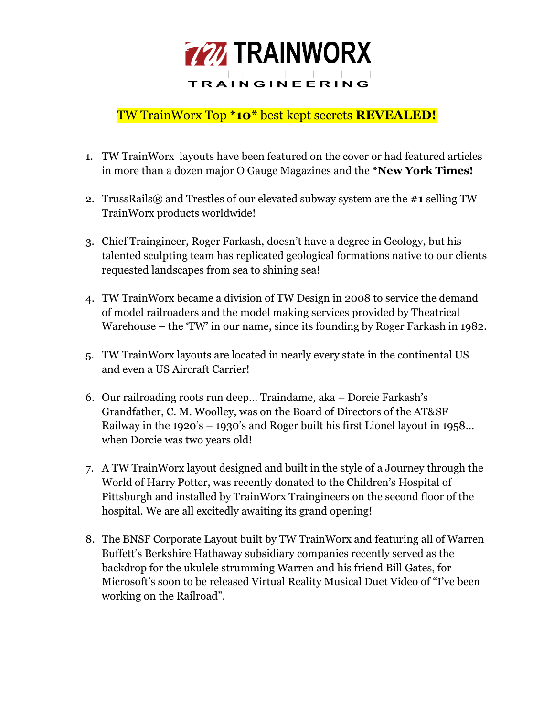

## TW TrainWorx Top **\*10\*** best kept secrets **REVEALED!**

- 1. TW TrainWorx layouts have been featured on the cover or had featured articles in more than a dozen major O Gauge Magazines and the **\*New York Times!**
- 2. TrussRails® and Trestles of our elevated subway system are the **#1** selling TW TrainWorx products worldwide!
- 3. Chief Traingineer, Roger Farkash, doesn't have a degree in Geology, but his talented sculpting team has replicated geological formations native to our clients requested landscapes from sea to shining sea!
- 4. TW TrainWorx became a division of TW Design in 2008 to service the demand of model railroaders and the model making services provided by Theatrical Warehouse – the 'TW' in our name, since its founding by Roger Farkash in 1982.
- 5. TW TrainWorx layouts are located in nearly every state in the continental US and even a US Aircraft Carrier!
- 6. Our railroading roots run deep… Traindame, aka Dorcie Farkash's Grandfather, C. M. Woolley, was on the Board of Directors of the AT&SF Railway in the 1920's – 1930's and Roger built his first Lionel layout in 1958… when Dorcie was two years old!
- 7. A TW TrainWorx layout designed and built in the style of a Journey through the World of Harry Potter, was recently donated to the Children's Hospital of Pittsburgh and installed by TrainWorx Traingineers on the second floor of the hospital. We are all excitedly awaiting its grand opening!
- 8. The BNSF Corporate Layout built by TW TrainWorx and featuring all of Warren Buffett's Berkshire Hathaway subsidiary companies recently served as the backdrop for the ukulele strumming Warren and his friend Bill Gates, for Microsoft's soon to be released Virtual Reality Musical Duet Video of "I've been working on the Railroad".